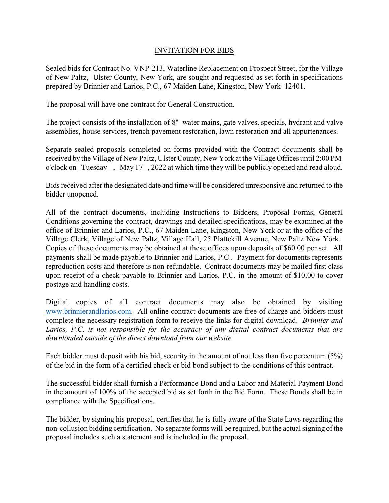## INVITATION FOR BIDS

Sealed bids for Contract No. VNP-213, Waterline Replacement on Prospect Street, for the Village of New Paltz, Ulster County, New York, are sought and requested as set forth in specifications prepared by Brinnier and Larios, P.C., 67 Maiden Lane, Kingston, New York 12401.

The proposal will have one contract for General Construction.

The project consists of the installation of 8" water mains, gate valves, specials, hydrant and valve assemblies, house services, trench pavement restoration, lawn restoration and all appurtenances.

Separate sealed proposals completed on forms provided with the Contract documents shall be received by the Village of New Paltz, Ulster County, New York at the Village Offices until 2:00 PM o'clock on Tuesday , May 17 , 2022 at which time they will be publicly opened and read aloud.

Bids received after the designated date and time will be considered unresponsive and returned to the bidder unopened.

All of the contract documents, including Instructions to Bidders, Proposal Forms, General Conditions governing the contract, drawings and detailed specifications, may be examined at the office of Brinnier and Larios, P.C., 67 Maiden Lane, Kingston, New York or at the office of the Village Clerk, Village of New Paltz, Village Hall, 25 Plattekill Avenue, New Paltz New York. Copies of these documents may be obtained at these offices upon deposits of \$60.00 per set. All payments shall be made payable to Brinnier and Larios, P.C.. Payment for documents represents reproduction costs and therefore is non-refundable. Contract documents may be mailed first class upon receipt of a check payable to Brinnier and Larios, P.C. in the amount of \$10.00 to cover postage and handling costs.

Digital copies of all contract documents may also be obtained by visiting www.brinnierandlarios.com. All online contract documents are free of charge and bidders must complete the necessary registration form to receive the links for digital download. *Brinnier and Larios, P.C. is not responsible for the accuracy of any digital contract documents that are downloaded outside of the direct download from our website.*

Each bidder must deposit with his bid, security in the amount of not less than five percentum (5%) of the bid in the form of a certified check or bid bond subject to the conditions of this contract.

The successful bidder shall furnish a Performance Bond and a Labor and Material Payment Bond in the amount of 100% of the accepted bid as set forth in the Bid Form. These Bonds shall be in compliance with the Specifications.

The bidder, by signing his proposal, certifies that he is fully aware of the State Laws regarding the non-collusion bidding certification. No separate forms will be required, but the actual signing of the proposal includes such a statement and is included in the proposal.